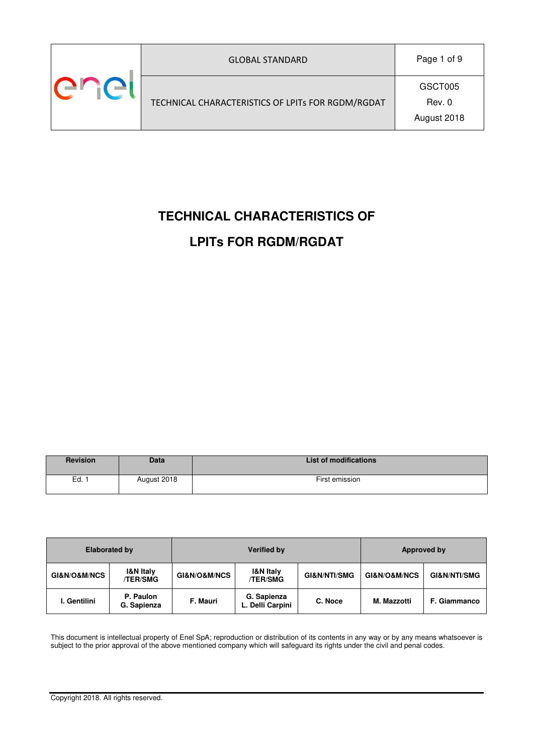| <b>GLOBAL STANDARD</b>                            | Page 1 of 9                      |
|---------------------------------------------------|----------------------------------|
| TECHNICAL CHARACTERISTICS OF LPITs FOR RGDM/RGDAT | GSCT005<br>Rev. 0<br>August 2018 |

# **TECHNICAL CHARACTERISTICS OF LPITs FOR RGDM/RGDAT**

| <b>Revision</b> | <b>Data</b> | <b>List of modifications</b> |
|-----------------|-------------|------------------------------|
| Ed.,            | August 2018 | First emission               |

|              | <b>Elaborated by</b>             |                             | <b>Verified by</b>                      | Approved by             |              |                         |  |
|--------------|----------------------------------|-----------------------------|-----------------------------------------|-------------------------|--------------|-------------------------|--|
| GI&N/O&M/NCS | <b>I&amp;N Italy</b><br>/TER/SMG | <b>GI&amp;N/O&amp;M/NCS</b> | <b>I&amp;N Italy</b><br><b>/TER/SMG</b> | <b>GI&amp;N/NTI/SMG</b> | GI&N/O&M/NCS | <b>GI&amp;N/NTI/SMG</b> |  |
| I. Gentilini | P. Paulon<br>G. Sapienza         | F. Mauri                    | G. Sapienza<br>L. Delli Carpini         | C. Noce                 | M. Mazzotti  | <b>F. Giammanco</b>     |  |

This document is intellectual property of Enel SpA; reproduction or distribution of its contents in any way or by any means whatsoever is subject to the prior approval of the above mentioned company which will safeguard its rights under the civil and penal codes.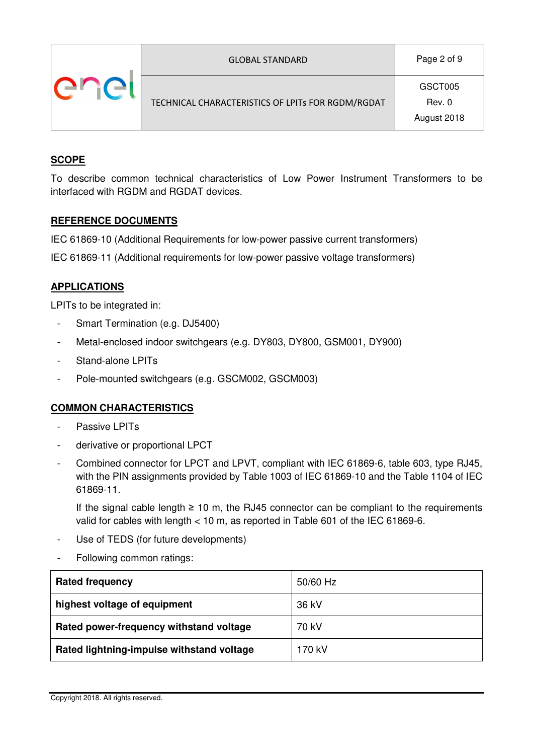| <b>GLOBAL STANDARD</b>                            | Page 2 of 9                      |
|---------------------------------------------------|----------------------------------|
| TECHNICAL CHARACTERISTICS OF LPITs FOR RGDM/RGDAT | GSCT005<br>Rev. 0<br>August 2018 |

## **SCOPE**

To describe common technical characteristics of Low Power Instrument Transformers to be interfaced with RGDM and RGDAT devices.

#### **REFERENCE DOCUMENTS**

IEC 61869-10 (Additional Requirements for low-power passive current transformers)

IEC 61869-11 (Additional requirements for low-power passive voltage transformers)

### **APPLICATIONS**

LPITs to be integrated in:

- Smart Termination (e.g. DJ5400)
- Metal-enclosed indoor switchgears (e.g. DY803, DY800, GSM001, DY900)
- Stand-alone LPITs
- Pole-mounted switchgears (e.g. GSCM002, GSCM003)

### **COMMON CHARACTERISTICS**

- Passive LPITs
- derivative or proportional LPCT
- Combined connector for LPCT and LPVT, compliant with IEC 61869-6, table 603, type RJ45, with the PIN assignments provided by Table 1003 of IEC 61869-10 and the Table 1104 of IEC 61869-11.

If the signal cable length  $\geq 10$  m, the RJ45 connector can be compliant to the requirements valid for cables with length < 10 m, as reported in Table 601 of the IEC 61869-6.

- Use of TEDS (for future developments)
- Following common ratings:

| <b>Rated frequency</b>                    | 50/60 Hz |
|-------------------------------------------|----------|
| highest voltage of equipment              | 36 kV    |
| Rated power-frequency withstand voltage   | 70 kV    |
| Rated lightning-impulse withstand voltage | 170 kV   |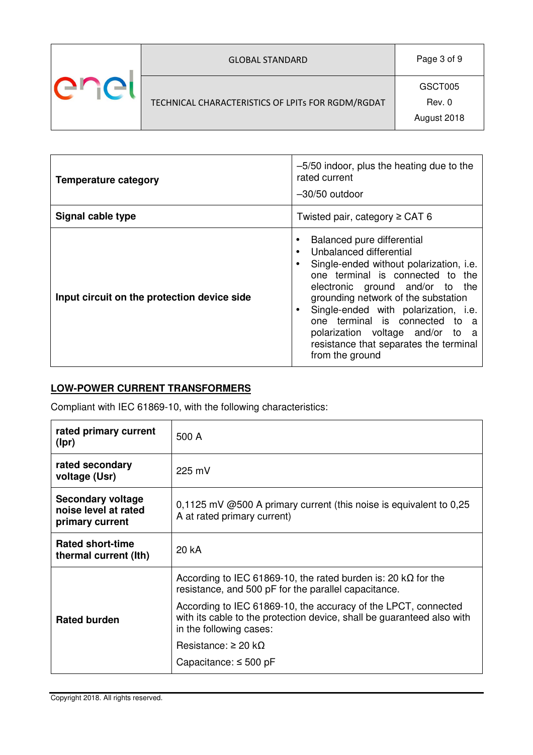| <b>GLOBAL STANDARD</b>                            | Page 3 of 9                      |
|---------------------------------------------------|----------------------------------|
| TECHNICAL CHARACTERISTICS OF LPITs FOR RGDM/RGDAT | GSCT005<br>Rev. 0<br>August 2018 |

| <b>Temperature category</b>                 | -5/50 indoor, plus the heating due to the<br>rated current<br>$-30/50$ outdoor                                                                                                                                                                                                                                                                                                                                                   |  |  |  |  |
|---------------------------------------------|----------------------------------------------------------------------------------------------------------------------------------------------------------------------------------------------------------------------------------------------------------------------------------------------------------------------------------------------------------------------------------------------------------------------------------|--|--|--|--|
| Signal cable type                           | Twisted pair, category $\ge$ CAT 6                                                                                                                                                                                                                                                                                                                                                                                               |  |  |  |  |
| Input circuit on the protection device side | Balanced pure differential<br>$\bullet$<br>Unbalanced differential<br>$\bullet$<br>Single-ended without polarization, i.e.<br>one terminal is connected to the<br>electronic ground and/or to the<br>grounding network of the substation<br>Single-ended with polarization, i.e.<br>$\bullet$<br>one terminal is connected to a<br>polarization voltage and/or to a<br>resistance that separates the terminal<br>from the ground |  |  |  |  |

## **LOW-POWER CURRENT TRANSFORMERS**

Compliant with IEC 61869-10, with the following characteristics:

| rated primary current<br>(Ipr)                               | 500 A                                                                                                                                                               |
|--------------------------------------------------------------|---------------------------------------------------------------------------------------------------------------------------------------------------------------------|
| rated secondary<br>voltage (Usr)                             | $225$ mV                                                                                                                                                            |
| Secondary voltage<br>noise level at rated<br>primary current | $0,1125$ mV @500 A primary current (this noise is equivalent to 0,25<br>A at rated primary current)                                                                 |
| <b>Rated short-time</b><br>thermal current (Ith)             | 20 kA                                                                                                                                                               |
|                                                              | According to IEC 61869-10, the rated burden is: 20 $k\Omega$ for the<br>resistance, and 500 pF for the parallel capacitance.                                        |
| <b>Rated burden</b>                                          | According to IEC 61869-10, the accuracy of the LPCT, connected<br>with its cable to the protection device, shall be guaranteed also with<br>in the following cases: |
|                                                              | Resistance: $\geq 20$ kO                                                                                                                                            |
|                                                              | Capacitance: $\leq$ 500 pF                                                                                                                                          |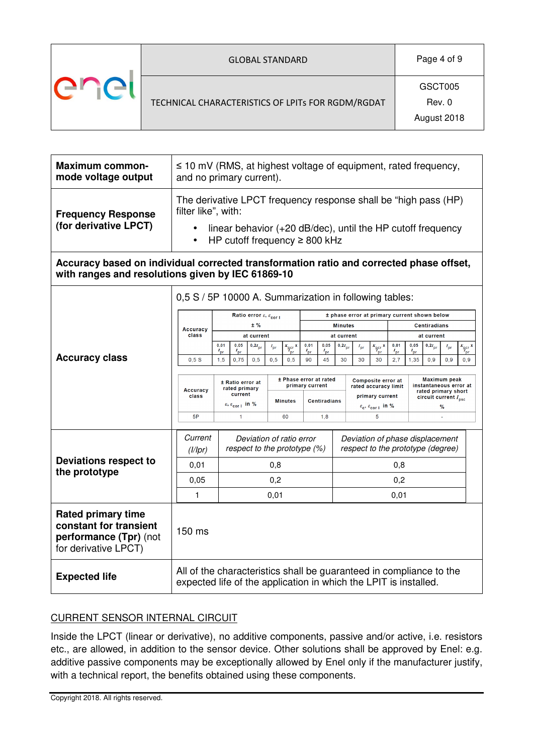| <b>GLOBAL STANDARD</b>                            | Page 4 of 9                      |
|---------------------------------------------------|----------------------------------|
| TECHNICAL CHARACTERISTICS OF LPITs FOR RGDM/RGDAT | GSCT005<br>Rev. 0<br>August 2018 |

| <b>Maximum common-</b><br>mode voltage output                                                                                                | $\leq$ 10 mV (RMS, at highest voltage of equipment, rated frequency,<br>and no primary current).                                                                                                                      |                                                                                                                                                                      |                                                            |                                          |                        |                           |                                                                      |                               |                                                                                                                                                   |                |                          |                                                                                                                    |                                 |                                   |                 |                                               |
|----------------------------------------------------------------------------------------------------------------------------------------------|-----------------------------------------------------------------------------------------------------------------------------------------------------------------------------------------------------------------------|----------------------------------------------------------------------------------------------------------------------------------------------------------------------|------------------------------------------------------------|------------------------------------------|------------------------|---------------------------|----------------------------------------------------------------------|-------------------------------|---------------------------------------------------------------------------------------------------------------------------------------------------|----------------|--------------------------|--------------------------------------------------------------------------------------------------------------------|---------------------------------|-----------------------------------|-----------------|-----------------------------------------------|
| <b>Frequency Response</b><br>(for derivative LPCT)                                                                                           | The derivative LPCT frequency response shall be "high pass (HP)<br>filter like", with:<br>linear behavior (+20 dB/dec), until the HP cutoff frequency<br>$\bullet$<br>HP cutoff frequency $\geq$ 800 kHz<br>$\bullet$ |                                                                                                                                                                      |                                                            |                                          |                        |                           |                                                                      |                               |                                                                                                                                                   |                |                          |                                                                                                                    |                                 |                                   |                 |                                               |
| Accuracy based on individual corrected transformation ratio and corrected phase offset,<br>with ranges and resolutions given by IEC 61869-10 |                                                                                                                                                                                                                       |                                                                                                                                                                      |                                                            |                                          |                        |                           |                                                                      |                               |                                                                                                                                                   |                |                          |                                                                                                                    |                                 |                                   |                 |                                               |
|                                                                                                                                              | Accuracy                                                                                                                                                                                                              |                                                                                                                                                                      | Ratio error $\varepsilon$ , $\varepsilon$ <sub>cor l</sub> | $±$ %                                    |                        |                           |                                                                      |                               | 0,5 S / 5P 10000 A. Summarization in following tables:<br>± phase error at primary current shown below<br><b>Minutes</b><br><b>Centiradians</b>   |                |                          |                                                                                                                    |                                 |                                   |                 |                                               |
| <b>Accuracy class</b>                                                                                                                        | class<br>0.5S                                                                                                                                                                                                         | 0,01<br>$I_{pr}$<br>1.5                                                                                                                                              | 0,05<br>$I_{\text{pr}}$<br>0.75                            | at current<br>$0, 2I_{\text{pr}}$<br>0.5 | $I_{\text{pr}}$<br>0.5 | $K_{\text{per}}$ x<br>0.5 | 0,01<br>$I_{\text{pr}}$<br>90                                        | 0,05<br>$I_{\text{pr}}$<br>45 | at current<br>$0, 2I_{\text{pr}}$<br>30                                                                                                           | $I_{pr}$<br>30 | $K_{\text{pcr}}$ x<br>30 | 0,01<br>2.7                                                                                                        | 0,05<br>$I_{\text{pr}}$<br>1.35 | at current<br>$0, 2I_{pr}$<br>0.9 | $I_{pr}$<br>0.9 | $\frac{K_{\text{pcr}}}{T_{\text{pr}}}$<br>0.9 |
|                                                                                                                                              | <b>Accuracy</b><br>class<br>5P                                                                                                                                                                                        | ± Phase error at rated<br>± Ratio error at<br>rated primary<br>current<br><b>Minutes</b><br>$\varepsilon$ , $\varepsilon$ <sub>corl</sub> in %<br>$\mathbf{1}$<br>60 |                                                            |                                          |                        |                           | primary current                                                      | 1,8                           | Composite error at<br>rated accuracy limit<br>primary current<br><b>Centiradians</b><br>$\varepsilon_{\rm c}, \varepsilon_{\rm cor\,1}$ in %<br>5 |                |                          | Maximum peak<br>instantaneous error at<br>rated primary short<br>circuit current $I_{\text{psc}}$<br>%<br><b>A</b> |                                 |                                   |                 |                                               |
|                                                                                                                                              | Current<br>(1/1pr)                                                                                                                                                                                                    | Deviation of ratio error<br>respect to the prototype (%)                                                                                                             |                                                            |                                          |                        |                           | Deviation of phase displacement<br>respect to the prototype (degree) |                               |                                                                                                                                                   |                |                          |                                                                                                                    |                                 |                                   |                 |                                               |
| <b>Deviations respect to</b><br>the prototype                                                                                                | 0,01                                                                                                                                                                                                                  |                                                                                                                                                                      |                                                            |                                          | 0,8                    |                           |                                                                      | 0,8                           |                                                                                                                                                   |                |                          |                                                                                                                    |                                 |                                   |                 |                                               |
|                                                                                                                                              | 0,05                                                                                                                                                                                                                  |                                                                                                                                                                      |                                                            |                                          | 0,2                    |                           | 0,2                                                                  |                               |                                                                                                                                                   |                |                          |                                                                                                                    |                                 |                                   |                 |                                               |
|                                                                                                                                              | 1<br>0,01<br>0,01                                                                                                                                                                                                     |                                                                                                                                                                      |                                                            |                                          |                        |                           |                                                                      |                               |                                                                                                                                                   |                |                          |                                                                                                                    |                                 |                                   |                 |                                               |
| <b>Rated primary time</b><br>constant for transient<br>performance (Tpr) (not<br>for derivative LPCT)                                        | 150 ms                                                                                                                                                                                                                |                                                                                                                                                                      |                                                            |                                          |                        |                           |                                                                      |                               |                                                                                                                                                   |                |                          |                                                                                                                    |                                 |                                   |                 |                                               |
| <b>Expected life</b>                                                                                                                         |                                                                                                                                                                                                                       | All of the characteristics shall be guaranteed in compliance to the<br>expected life of the application in which the LPIT is installed.                              |                                                            |                                          |                        |                           |                                                                      |                               |                                                                                                                                                   |                |                          |                                                                                                                    |                                 |                                   |                 |                                               |

## CURRENT SENSOR INTERNAL CIRCUIT

Inside the LPCT (linear or derivative), no additive components, passive and/or active, i.e. resistors etc., are allowed, in addition to the sensor device. Other solutions shall be approved by Enel: e.g. additive passive components may be exceptionally allowed by Enel only if the manufacturer justify, with a technical report, the benefits obtained using these components.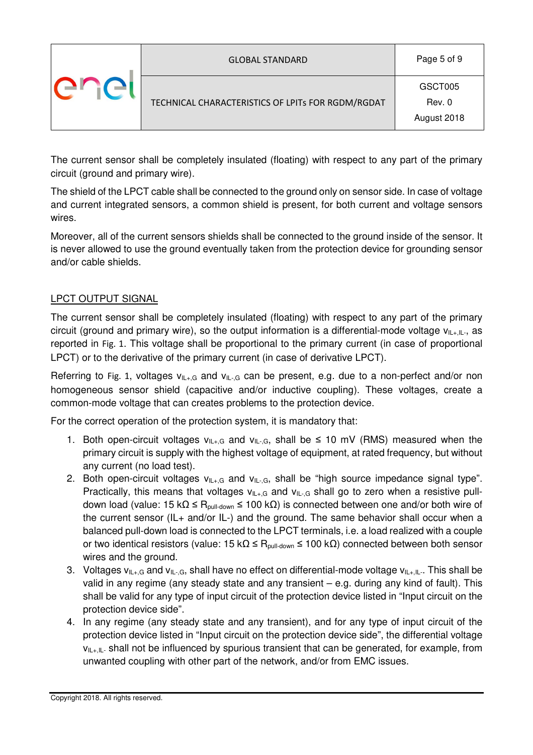| <b>GLOBAL STANDARD</b>                            | Page 5 of 9                      |
|---------------------------------------------------|----------------------------------|
| TECHNICAL CHARACTERISTICS OF LPITs FOR RGDM/RGDAT | GSCT005<br>Rev. 0<br>August 2018 |

The current sensor shall be completely insulated (floating) with respect to any part of the primary circuit (ground and primary wire).

The shield of the LPCT cable shall be connected to the ground only on sensor side. In case of voltage and current integrated sensors, a common shield is present, for both current and voltage sensors wires.

Moreover, all of the current sensors shields shall be connected to the ground inside of the sensor. It is never allowed to use the ground eventually taken from the protection device for grounding sensor and/or cable shields.

## LPCT OUTPUT SIGNAL

The current sensor shall be completely insulated (floating) with respect to any part of the primary circuit (ground and primary wire), so the output information is a differential-mode voltage  $v_{\text{II+II-}}$ , as reported in Fig. 1. This voltage shall be proportional to the primary current (in case of proportional LPCT) or to the derivative of the primary current (in case of derivative LPCT).

Referring to Fig. 1, voltages  $v_{1L+G}$  and  $v_{1L+G}$  can be present, e.g. due to a non-perfect and/or non homogeneous sensor shield (capacitive and/or inductive coupling). These voltages, create a common-mode voltage that can creates problems to the protection device.

For the correct operation of the protection system, it is mandatory that:

- 1. Both open-circuit voltages  $v_{\text{II}+\text{G}}$  and  $v_{\text{II}-\text{G}}$ , shall be  $\leq$  10 mV (RMS) measured when the primary circuit is supply with the highest voltage of equipment, at rated frequency, but without any current (no load test).
- 2. Both open-circuit voltages  $v_{\vert l_+,G}$  and  $v_{\vert l_+,G}$ , shall be "high source impedance signal type". Practically, this means that voltages  $v_{\text{IL+},G}$  and  $v_{\text{IL-},G}$  shall go to zero when a resistive pulldown load (value: 15 kΩ ≤ R<sub>pull-down</sub> ≤ 100 kΩ) is connected between one and/or both wire of the current sensor (IL+ and/or IL-) and the ground. The same behavior shall occur when a balanced pull-down load is connected to the LPCT terminals, i.e. a load realized with a couple or two identical resistors (value: 15 kΩ ≤ R<sub>pull-down</sub> ≤ 100 kΩ) connected between both sensor wires and the ground.
- 3. Voltages  $v_{\text{IL+},G}$  and  $v_{\text{IL-},G}$ , shall have no effect on differential-mode voltage  $v_{\text{IL+},IL}$ . This shall be valid in any regime (any steady state and any transient – e.g. during any kind of fault). This shall be valid for any type of input circuit of the protection device listed in "Input circuit on the protection device side".
- 4. In any regime (any steady state and any transient), and for any type of input circuit of the protection device listed in "Input circuit on the protection device side", the differential voltage  $v_{\parallel +,\parallel}$  shall not be influenced by spurious transient that can be generated, for example, from unwanted coupling with other part of the network, and/or from EMC issues.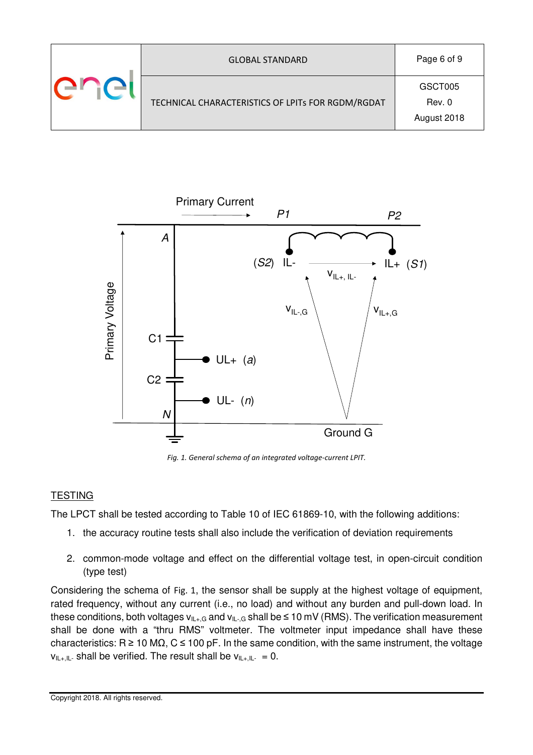| <b>GLOBAL STANDARD</b>                            | Page 6 of 9                      |
|---------------------------------------------------|----------------------------------|
| TECHNICAL CHARACTERISTICS OF LPITs FOR RGDM/RGDAT | GSCT005<br>Rev. 0<br>August 2018 |



*Fig. 1. General schema of an integrated voltage-current LPIT.*

### **TESTING**

The LPCT shall be tested according to Table 10 of IEC 61869-10, with the following additions:

- 1. the accuracy routine tests shall also include the verification of deviation requirements
- 2. common-mode voltage and effect on the differential voltage test, in open-circuit condition (type test)

Considering the schema of Fig. 1, the sensor shall be supply at the highest voltage of equipment, rated frequency, without any current (i.e., no load) and without any burden and pull-down load. In these conditions, both voltages  $v_{\text{II}+\text{G}}$  and  $v_{\text{II}-\text{G}}$  shall be  $\leq 10$  mV (RMS). The verification measurement shall be done with a "thru RMS" voltmeter. The voltmeter input impedance shall have these characteristics: R  $\geq$  10 M $\Omega$ , C  $\leq$  100 pF. In the same condition, with the same instrument, the voltage  $v_{\text{II},\text{II}-}$  shall be verified. The result shall be  $v_{\text{II},\text{II}-} = 0$ .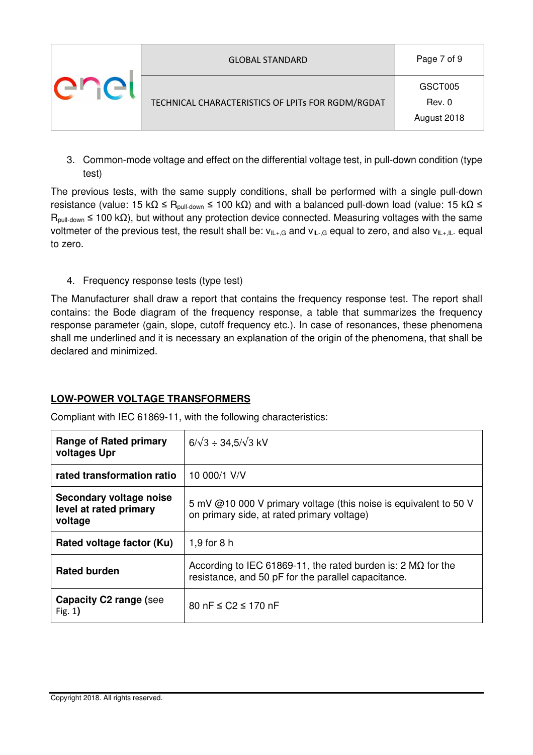| <b>GLOBAL STANDARD</b>                            | Page 7 of 9                      |  |  |  |
|---------------------------------------------------|----------------------------------|--|--|--|
| TECHNICAL CHARACTERISTICS OF LPITs FOR RGDM/RGDAT | GSCT005<br>Rev. 0<br>August 2018 |  |  |  |

3. Common-mode voltage and effect on the differential voltage test, in pull-down condition (type test)

The previous tests, with the same supply conditions, shall be performed with a single pull-down resistance (value: 15 kΩ ≤ R<sub>pull-down</sub> ≤ 100 kΩ) and with a balanced pull-down load (value: 15 kΩ ≤  $R_{\text{pull-down}} \le 100 \text{ k}\Omega$ ), but without any protection device connected. Measuring voltages with the same voltmeter of the previous test, the result shall be:  $v_{IL+,G}$  and  $v_{IL-,G}$  equal to zero, and also  $v_{IL+,IL-}$  equal to zero.

4. Frequency response tests (type test)

The Manufacturer shall draw a report that contains the frequency response test. The report shall contains: the Bode diagram of the frequency response, a table that summarizes the frequency response parameter (gain, slope, cutoff frequency etc.). In case of resonances, these phenomena shall me underlined and it is necessary an explanation of the origin of the phenomena, that shall be declared and minimized.

### **LOW-POWER VOLTAGE TRANSFORMERS**

Compliant with IEC 61869-11, with the following characteristics:

| <b>Range of Rated primary</b><br>voltages Upr                | $6/\sqrt{3} \div 34.5/\sqrt{3}$ kV                                                                                                |  |  |  |  |  |  |
|--------------------------------------------------------------|-----------------------------------------------------------------------------------------------------------------------------------|--|--|--|--|--|--|
| rated transformation ratio                                   | 10 000/1 V/V                                                                                                                      |  |  |  |  |  |  |
| Secondary voltage noise<br>level at rated primary<br>voltage | 5 mV @10 000 V primary voltage (this noise is equivalent to 50 V<br>on primary side, at rated primary voltage)                    |  |  |  |  |  |  |
| Rated voltage factor (Ku)                                    | $1.9$ for 8 h                                                                                                                     |  |  |  |  |  |  |
| <b>Rated burden</b>                                          | According to IEC 61869-11, the rated burden is: 2 $\text{M}\Omega$ for the<br>resistance, and 50 pF for the parallel capacitance. |  |  |  |  |  |  |
| Capacity C2 range (see<br>Fig. $1)$                          | 80 nF $\leq$ C2 $\leq$ 170 nF                                                                                                     |  |  |  |  |  |  |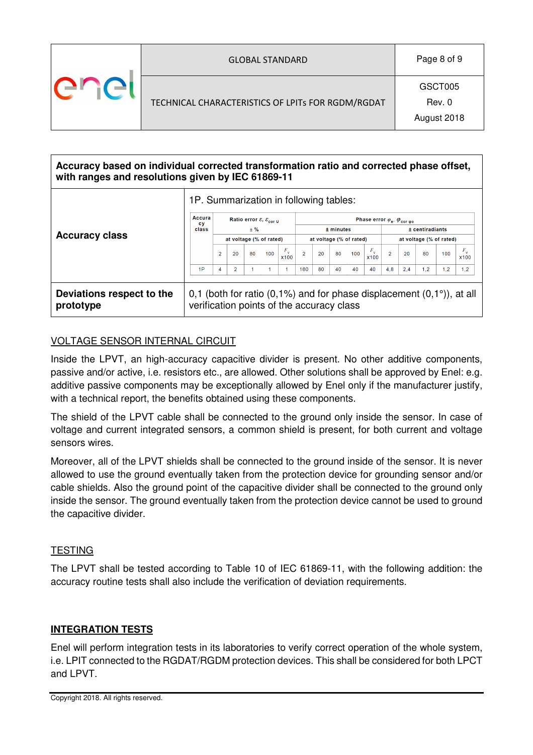| <b>GLOBAL STANDARD</b>                            | Page 8 of 9                      |  |  |
|---------------------------------------------------|----------------------------------|--|--|
| TECHNICAL CHARACTERISTICS OF LPITs FOR RGDM/RGDAT | GSCT005<br>Rev. 0<br>August 2018 |  |  |

| Accuracy based on individual corrected transformation ratio and corrected phase offset,<br>with ranges and resolutions given by IEC 61869-11 |                                                                                                                          |                                                            |                |       |     |                                 |                                                    |    |    |     |                            |                         |     |     |     |                            |
|----------------------------------------------------------------------------------------------------------------------------------------------|--------------------------------------------------------------------------------------------------------------------------|------------------------------------------------------------|----------------|-------|-----|---------------------------------|----------------------------------------------------|----|----|-----|----------------------------|-------------------------|-----|-----|-----|----------------------------|
|                                                                                                                                              | 1P. Summarization in following tables:                                                                                   |                                                            |                |       |     |                                 |                                                    |    |    |     |                            |                         |     |     |     |                            |
|                                                                                                                                              | Accura<br><b>CV</b>                                                                                                      | Ratio error $\varepsilon$ , $\varepsilon$ <sub>cor u</sub> |                |       |     |                                 | Phase error $\varphi_e$ , $\varphi_{\text{corpo}}$ |    |    |     |                            |                         |     |     |     |                            |
|                                                                                                                                              | class                                                                                                                    |                                                            |                | $±$ % |     |                                 | $±$ minutes                                        |    |    |     |                            | ± centiradiants         |     |     |     |                            |
| <b>Accuracy class</b>                                                                                                                        |                                                                                                                          | at voltage (% of rated)                                    |                |       |     |                                 | at voltage (% of rated)                            |    |    |     |                            | at voltage (% of rated) |     |     |     |                            |
|                                                                                                                                              |                                                                                                                          | $\overline{2}$                                             | 20             | 80    | 100 | $F_{\mathbf{v}}$<br><b>X100</b> | $\overline{2}$                                     | 20 | 80 | 100 | $F_{\rm v}$<br><b>x100</b> | $\overline{2}$          | 20  | 80  | 100 | $F_{\rm v}$<br><b>x100</b> |
|                                                                                                                                              | 1P                                                                                                                       | 4                                                          | $\overline{2}$ |       |     |                                 | 160                                                | 80 | 40 | 40  | 40                         | 4,8                     | 2.4 | 1,2 | 1,2 | 1,2                        |
|                                                                                                                                              |                                                                                                                          |                                                            |                |       |     |                                 |                                                    |    |    |     |                            |                         |     |     |     |                            |
| Deviations respect to the<br>prototype                                                                                                       | 0,1 (both for ratio $(0,1\%)$ and for phase displacement $(0,1\%)$ , at all<br>verification points of the accuracy class |                                                            |                |       |     |                                 |                                                    |    |    |     |                            |                         |     |     |     |                            |

#### VOLTAGE SENSOR INTERNAL CIRCUIT

Inside the LPVT, an high-accuracy capacitive divider is present. No other additive components, passive and/or active, i.e. resistors etc., are allowed. Other solutions shall be approved by Enel: e.g. additive passive components may be exceptionally allowed by Enel only if the manufacturer justify, with a technical report, the benefits obtained using these components.

The shield of the LPVT cable shall be connected to the ground only inside the sensor. In case of voltage and current integrated sensors, a common shield is present, for both current and voltage sensors wires.

Moreover, all of the LPVT shields shall be connected to the ground inside of the sensor. It is never allowed to use the ground eventually taken from the protection device for grounding sensor and/or cable shields. Also the ground point of the capacitive divider shall be connected to the ground only inside the sensor. The ground eventually taken from the protection device cannot be used to ground the capacitive divider.

#### **TESTING**

The LPVT shall be tested according to Table 10 of IEC 61869-11, with the following addition: the accuracy routine tests shall also include the verification of deviation requirements.

#### **INTEGRATION TESTS**

Enel will perform integration tests in its laboratories to verify correct operation of the whole system, i.e. LPIT connected to the RGDAT/RGDM protection devices. This shall be considered for both LPCT and LPVT.